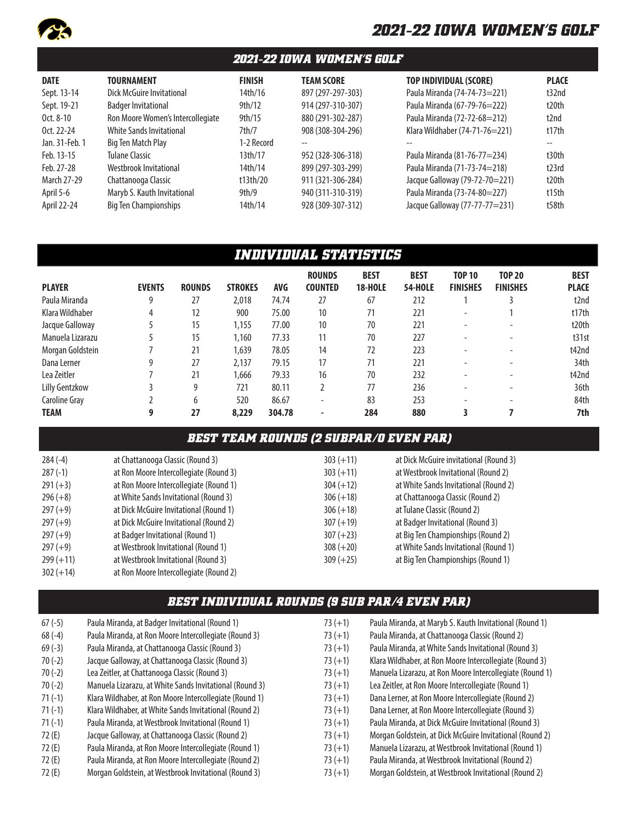

### *2021-22 IOWA WOMEN'S GOLF*

| <b>DATE</b>                                                                           | <b>TOURNAMENT</b>                                                                                                                                           | <b>FINISH</b>                                                    | <b>TEAM SCORE</b>                                                                                            | <b>TOP INDIVIDUAL (SCORE)</b>                                                                                                                                    | <b>PLACE</b>                              |
|---------------------------------------------------------------------------------------|-------------------------------------------------------------------------------------------------------------------------------------------------------------|------------------------------------------------------------------|--------------------------------------------------------------------------------------------------------------|------------------------------------------------------------------------------------------------------------------------------------------------------------------|-------------------------------------------|
| Sept. 13-14                                                                           | Dick McGuire Invitational                                                                                                                                   | 14th/16                                                          | 897 (297-297-303)                                                                                            | Paula Miranda (74-74-73=221)                                                                                                                                     | t32nd                                     |
| Sept. 19-21                                                                           | <b>Badger Invitational</b>                                                                                                                                  | 9th/12                                                           | 914 (297-310-307)                                                                                            | Paula Miranda (67-79-76=222)                                                                                                                                     | t20th                                     |
| Oct. 8-10                                                                             | Ron Moore Women's Intercollegiate                                                                                                                           | 9th/15                                                           | 880 (291-302-287)                                                                                            | Paula Miranda (72-72-68=212)                                                                                                                                     | t2nd                                      |
| Oct. 22-24                                                                            | <b>White Sands Invitational</b>                                                                                                                             | 7th/7                                                            | 908 (308-304-296)                                                                                            | Klara Wildhaber (74-71-76=221)                                                                                                                                   | t17th                                     |
| Jan. 31-Feb. 1<br>Feb. 13-15<br>Feb. 27-28<br>March 27-29<br>April 5-6<br>April 22-24 | Big Ten Match Play<br><b>Tulane Classic</b><br>Westbrook Invitational<br>Chattanooga Classic<br>Maryb S. Kauth Invitational<br><b>Big Ten Championships</b> | 1-2 Record<br>13th/17<br>14th/14<br>t13th/20<br>9th/9<br>14th/14 | $-$<br>952 (328-306-318)<br>899 (297-303-299)<br>911 (321-306-284)<br>940 (311-310-319)<br>928 (309-307-312) | Paula Miranda (81-76-77=234)<br>Paula Miranda (71-73-74=218)<br>Jacque Galloway (79-72-70=221)<br>Paula Miranda (73-74-80=227)<br>Jacque Galloway (77-77-77=231) | t30th<br>t23rd<br>t20th<br>t15th<br>t58th |

# *INDIVIDUAL STATISTICS*

|                  |               |               |                |        | <b>ROUNDS</b>  | <b>BEST</b>    | <b>BEST</b>    | <b>TOP 10</b>            | <b>TOP 20</b>            | <b>BEST</b>       |
|------------------|---------------|---------------|----------------|--------|----------------|----------------|----------------|--------------------------|--------------------------|-------------------|
| <b>PLAYER</b>    | <b>EVENTS</b> | <b>ROUNDS</b> | <b>STROKES</b> | AVG    | <b>COUNTED</b> | <b>18-HOLE</b> | <b>54-HOLE</b> | <b>FINISHES</b>          | <b>FINISHES</b>          | <b>PLACE</b>      |
| Paula Miranda    | 9             | 27            | 2,018          | 74.74  | 27             | 67             | 212            |                          |                          | t2nd              |
| Klara Wildhaber  | 4             | 12            | 900            | 75.00  | 10             | 71             | 221            | $\overline{\phantom{a}}$ |                          | t17th             |
| Jacque Galloway  |               | 15            | 1,155          | 77.00  | 10             | 70             | 221            | $\overline{\phantom{a}}$ | $\sim$                   | t <sub>20th</sub> |
| Manuela Lizarazu |               | 15            | 1,160          | 77.33  | 11             | 70             | 227            | -                        |                          | t31st             |
| Morgan Goldstein |               | 21            | 1,639          | 78.05  | 14             | 72             | 223            | -                        |                          | t42nd             |
| Dana Lerner      | g             | 27            | 2,137          | 79.15  | 17             | 71             | 221            |                          | $\overline{\phantom{a}}$ | 34th              |
| Lea Zeitler      |               | 21            | 1,666          | 79.33  | 16             | 70             | 232            | -                        | $\overline{\phantom{a}}$ | t42nd             |
| Lilly Gentzkow   |               | 9             | 721            | 80.11  |                | 77             | 236            | -                        | $\overline{\phantom{a}}$ | 36th              |
| Caroline Gray    |               | 6             | 520            | 86.67  | ۰              | 83             | 253            | ۰                        | -                        | 84th              |
| <b>TEAM</b>      | 9             | 27            | 8,229          | 304.78 |                | 284            | 880            |                          |                          | 7th               |

### *BEST TEAM ROUNDS (2 SUBPAR/0 EVEN PAR)*

| $284(-4)$   | at Chattanooga Classic (Round 3)       | $303 (+11)$ | at Dick McGuire invitational (Round 3) |
|-------------|----------------------------------------|-------------|----------------------------------------|
| $287(-1)$   | at Ron Moore Intercollegiate (Round 3) | $303 (+11)$ | at Westbrook Invitational (Round 2)    |
| $291 (+3)$  | at Ron Moore Intercollegiate (Round 1) | $304 (+12)$ | at White Sands Invitational (Round 2)  |
| $296 (+8)$  | at White Sands Invitational (Round 3)  | $306 (+18)$ | at Chattanooga Classic (Round 2)       |
| $297 (+9)$  | at Dick McGuire Invitational (Round 1) | $306 (+18)$ | at Tulane Classic (Round 2)            |
| $297 (+9)$  | at Dick McGuire Invitational (Round 2) | $307 (+19)$ | at Badger Invitational (Round 3)       |
| $297 (+9)$  | at Badger Invitational (Round 1)       | $307 (+23)$ | at Big Ten Championships (Round 2)     |
| $297 (+9)$  | at Westbrook Invitational (Round 1)    | $308 (+20)$ | at White Sands Invitational (Round 1)  |
| $299 (+11)$ | at Westbrook Invitational (Round 3)    | $309 (+25)$ | at Big Ten Championships (Round 1)     |
| $302 (+14)$ | at Ron Moore Intercollegiate (Round 2) |             |                                        |

## *BEST INDIVIDUAL ROUNDS (9 SUB PAR/4 EVEN PAR)*

| $67(-5)$ | Paula Miranda, at Badger Invitational (Round 1)         | $73 (+1)$ | Paula Miranda, at Maryb S. Kauth Invitational (Round 1)  |
|----------|---------------------------------------------------------|-----------|----------------------------------------------------------|
| $68(-4)$ | Paula Miranda, at Ron Moore Intercollegiate (Round 3)   | $73 (+1)$ | Paula Miranda, at Chattanooga Classic (Round 2)          |
| $69(-3)$ | Paula Miranda, at Chattanooga Classic (Round 3)         | $73 (+1)$ | Paula Miranda, at White Sands Invitational (Round 3)     |
| $70(-2)$ | Jacque Galloway, at Chattanooga Classic (Round 3)       | $73 (+1)$ | Klara Wildhaber, at Ron Moore Intercollegiate (Round 3)  |
| $70(-2)$ | Lea Zeitler, at Chattanooga Classic (Round 3)           | $73 (+1)$ | Manuela Lizarazu, at Ron Moore Intercollegiate (Round 1) |
| $70(-2)$ | Manuela Lizarazu, at White Sands Invitational (Round 3) | $73 (+1)$ | Lea Zeitler, at Ron Moore Intercollegiate (Round 1)      |
| $71(-1)$ | Klara Wildhaber, at Ron Moore Intercollegiate (Round 1) | $73 (+1)$ | Dana Lerner, at Ron Moore Intercollegiate (Round 2)      |
| $71(-1)$ | Klara Wildhaber, at White Sands Invitational (Round 2)  | $73 (+1)$ | Dana Lerner, at Ron Moore Intercollegiate (Round 3)      |
| $71(-1)$ | Paula Miranda, at Westbrook Invitational (Round 1)      | $73 (+1)$ | Paula Miranda, at Dick McGuire Invitational (Round 3)    |
| 72 (E)   | Jacque Galloway, at Chattanooga Classic (Round 2)       | $73 (+1)$ | Morgan Goldstein, at Dick McGuire Invitational (Round 2) |
| 72 (E)   | Paula Miranda, at Ron Moore Intercollegiate (Round 1)   | $73 (+1)$ | Manuela Lizarazu, at Westbrook Invitational (Round 1)    |
| 72 (E)   | Paula Miranda, at Ron Moore Intercollegiate (Round 2)   | $73 (+1)$ | Paula Miranda, at Westbrook Invitational (Round 2)       |
| 72 (E)   | Morgan Goldstein, at Westbrook Invitational (Round 3)   | $73 (+1)$ | Morgan Goldstein, at Westbrook Invitational (Round 2)    |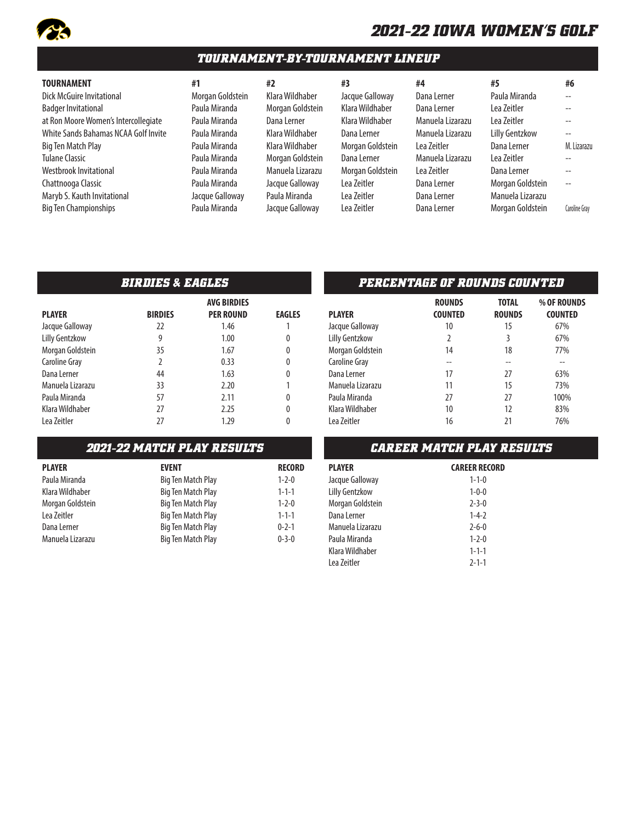

### *TOURNAMENT-BY-TOURNAMENT LINEUP*

Badger Invitational **Paula Miranda** Morgan Goldstein Klara Wildhaber Dana Lerner Lea Zeitler -at Ron Moore Women's Intercollegiate Paula Miranda Dana Lerner Klara Wildhaber Manuela Lizarazu Lea Zeitler -- White Sands Bahamas NCAA Golf Invite Paula Miranda Klara Wildhaber Dana Lerner Manuela Lizarazu Lilly Gentzkow --Big Ten Match Play **Paula Miranda** Klara Wildhaber Morgan Goldstein Lea Zeitler **Dana Lerner M. Lizarazu** Tulane Classic Paula Miranda Morgan Goldstein Dana Lerner Manuela Lizarazu Lea Zeitler -- Westbrook Invitational **Paula Miranda** Manuela Lizarazu Morgan Goldstein Lea Zeitler Dana Lerner --Chattnooga Classic **Charthooga Classic** Paula Miranda Jacque Galloway Lea Zeitler Dana Maryb S. Kauth Invitational **Manuela Lea Andra Calloway** Paula Miranda Lea Zeitler Dana Big Ten Championships Paula Miranda Jacque Galloway Lea Zeitler Dana Lerner Morgan Goldstein Caroline Gray

|          | #3   |
|----------|------|
| haber    | Jaco |
| oldstein | Klar |
| er       | Klar |
| haber    | Dan  |
| haber    | Mor  |
| oldstein | Dan  |
| .izarazu | Mor  |
| lloway   | Lea  |
| anda     | Lea  |
| Iloway   | l ea |

| que Galloway   |
|----------------|
| ra Wildhaber   |
| ra Wildhaber   |
| na Lerner      |
| rgan Goldstein |
| na Lerner      |
| rgan Goldstein |
| Zeitler        |
| ı Zeitler      |
| ı Zeitler      |

| <b>TOURNAMENT</b>                    | #1               | #2               | #3               | #4               | #5                    | #6                       |
|--------------------------------------|------------------|------------------|------------------|------------------|-----------------------|--------------------------|
| Dick McGuire Invitational            | Morgan Goldstein | Klara Wildhaber  | Jacque Galloway  | Dana Lerner      | Paula Miranda         | $- -$                    |
| <b>Badger Invitational</b>           | Paula Miranda    | Morgan Goldstein | Klara Wildhaber  | Dana Lerner      | Lea Zeitler           | $\overline{\phantom{a}}$ |
| at Ron Moore Women's Intercollegiate | Paula Miranda    | Dana Lerner      | Klara Wildhaber  | Manuela Lizarazu | Lea Zeitler           | $\overline{\phantom{a}}$ |
| White Sands Bahamas NCAA Golf Invite | Paula Miranda    | Klara Wildhaber  | Dana Lerner      | Manuela Lizarazu | <b>Lilly Gentzkow</b> | $-$                      |
| Big Ten Match Play                   | Paula Miranda    | Klara Wildhaber  | Morgan Goldstein | Lea Zeitler      | Dana Lerner           | M.                       |
| <b>Tulane Classic</b>                | Paula Miranda    | Morgan Goldstein | Dana Lerner      | Manuela Lizarazu | Lea Zeitler           |                          |
| Westbrook Invitational               | Paula Miranda    | Manuela Lizarazu | Morgan Goldstein | Lea Zeitler      | Dana Lerner           |                          |
| Chattnooga Classic                   | Paula Miranda    | Jacque Galloway  | Lea Zeitler      | Dana Lerner      | Morgan Goldstein      | $\overline{\phantom{m}}$ |
| Maryb S. Kauth Invitational          | Jacque Galloway  | Paula Miranda    | Lea Zeitler      | Dana Lerner      | Manuela Lizarazu      |                          |
| <b>Big Ten Championships</b>         | Paula Miranda    | Jacque Galloway  | Lea Zeitler      | Dana Lerner      | Morgan Goldstein      | Caro                     |

|                       |                | <b>AVG BIRDIES</b> |               |
|-----------------------|----------------|--------------------|---------------|
| <b>PLAYER</b>         | <b>BIRDIES</b> | <b>PER ROUND</b>   | <b>EAGLES</b> |
| Jacque Galloway       | 22             | 1.46               |               |
| <b>Lilly Gentzkow</b> | 9              | 1.00               | 0             |
| Morgan Goldstein      | 35             | 1.67               | 0             |
| Caroline Gray         | 2              | 0.33               | 0             |
| Dana Lerner           | 44             | 1.63               | 0             |
| Manuela Lizarazu      | 33             | 2.20               |               |
| Paula Miranda         | 57             | 2.11               | 0             |
| Klara Wildhaber       | 27             | 2.25               | 0             |
| Lea Zeitler           | 27             | 1.29               |               |

| <b>PLAYER</b>    | <b>EVENT</b>       | <b>RECORD</b> |
|------------------|--------------------|---------------|
| Paula Miranda    | Big Ten Match Play | $1 - 2 - 0$   |
| Klara Wildhaber  | Big Ten Match Play | $1 - 1 - 1$   |
| Morgan Goldstein | Big Ten Match Play | $1 - 2 - 0$   |
| Lea Zeitler      | Big Ten Match Play | $1 - 1 - 1$   |
| Dana Lerner      | Big Ten Match Play | $0 - 2 - 1$   |
| Manuela Lizarazu | Big Ten Match Play | $0 - 3 - 0$   |

#### *BIRDIES & EAGLES PERCENTAGE OF ROUNDS COUNTED*

| <b>PLAYER</b>    | <b>ROUNDS</b><br><b>COUNTED</b> | <b>TOTAL</b><br><b>ROUNDS</b> | % OF ROUNDS<br><b>COUNTED</b> |
|------------------|---------------------------------|-------------------------------|-------------------------------|
| Jacque Galloway  | 10                              | 15                            | 67%                           |
| Lilly Gentzkow   | 2                               | 3                             | 67%                           |
| Morgan Goldstein | 14                              | 18                            | 77%                           |
| Caroline Gray    | --                              |                               | --                            |
| Dana Lerner      | 17                              | 27                            | 63%                           |
| Manuela Lizarazu | 11                              | 15                            | 73%                           |
| Paula Miranda    | 27                              | 27                            | 100%                          |
| Klara Wildhaber  | 10                              | 12                            | 83%                           |
| Lea Zeitler      | 16                              | 21                            | 76%                           |

#### *2021-22 MATCH PLAY RESULTS CAREER MATCH PLAY RESULTS*

| PLAYER                | <b>CAREER RECORD</b> |
|-----------------------|----------------------|
| Jacque Galloway       | $1 - 1 - 0$          |
| <b>Lilly Gentzkow</b> | $1 - 0 - 0$          |
| Morgan Goldstein      | $2 - 3 - 0$          |
| Dana Lerner           | $1 - 4 - 2$          |
| Manuela Lizarazu      | $2 - 6 - 0$          |
| Paula Miranda         | $1 - 2 - 0$          |
| Klara Wildhaber       | $1 - 1 - 1$          |
| Lea Zeitler           | $2 - 1 - 1$          |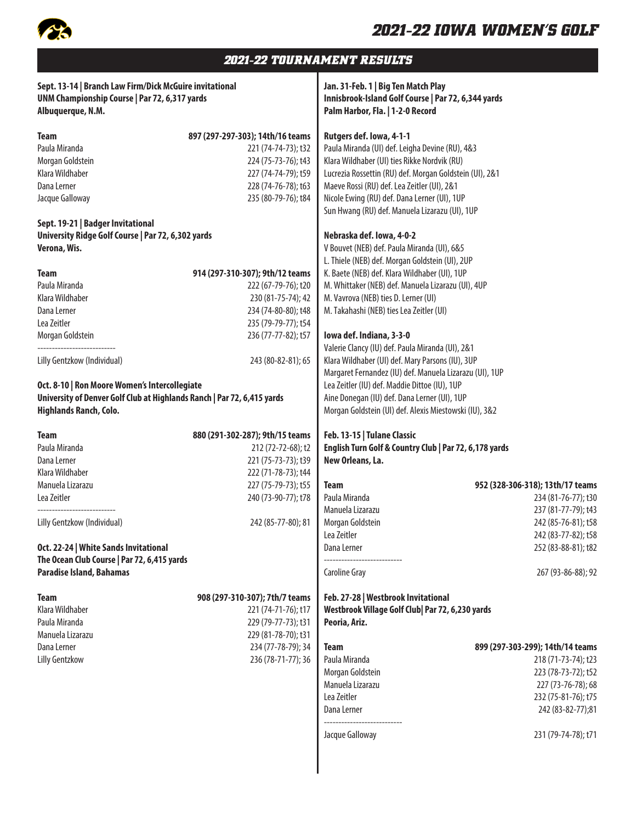

## *2021-22 TOURNAMENT RESULTS*

| Sept. 13-14   Branch Law Firm/Dick McGuire invitational<br>UNM Championship Course   Par 72, 6,317 yards<br>Albuquerque, N.M.                                                                                                                                                                                                                                                                                                                                                                                                                             |                                                                                                                                                                                                                                                                                                                                                                                                                | Jan. 31-Feb. 1   Big Ten Match Play<br>Innisbrook-Island Golf Course   Par 72, 6,344 yards<br>Palm Harbor, Fla.   1-2-0 Record                                                                                                                                                                                                                                                                                                                                                                                                                                                                                                                                                                                                                                                                                                                                                                                                                                                                                                                                                                                                           |                                                                                                                                                                         |
|-----------------------------------------------------------------------------------------------------------------------------------------------------------------------------------------------------------------------------------------------------------------------------------------------------------------------------------------------------------------------------------------------------------------------------------------------------------------------------------------------------------------------------------------------------------|----------------------------------------------------------------------------------------------------------------------------------------------------------------------------------------------------------------------------------------------------------------------------------------------------------------------------------------------------------------------------------------------------------------|------------------------------------------------------------------------------------------------------------------------------------------------------------------------------------------------------------------------------------------------------------------------------------------------------------------------------------------------------------------------------------------------------------------------------------------------------------------------------------------------------------------------------------------------------------------------------------------------------------------------------------------------------------------------------------------------------------------------------------------------------------------------------------------------------------------------------------------------------------------------------------------------------------------------------------------------------------------------------------------------------------------------------------------------------------------------------------------------------------------------------------------|-------------------------------------------------------------------------------------------------------------------------------------------------------------------------|
| <b>Team</b><br>Paula Miranda<br>Morgan Goldstein<br>Klara Wildhaber<br>Dana Lerner<br>Jacque Galloway<br>Sept. 19-21   Badger Invitational<br>University Ridge Golf Course   Par 72, 6,302 yards<br>Verona, Wis.<br><b>Team</b><br>Paula Miranda<br>Klara Wildhaber<br>Dana Lerner<br>Lea Zeitler<br>Morgan Goldstein<br>Lilly Gentzkow (Individual)<br>Oct. 8-10   Ron Moore Women's Intercollegiate<br>University of Denver Golf Club at Highlands Ranch   Par 72, 6,415 yards<br>Highlands Ranch, Colo.<br><b>Team</b><br>Paula Miranda<br>Dana Lerner | 897 (297-297-303); 14th/16 teams<br>221 (74-74-73); t32<br>224 (75-73-76); t43<br>227 (74-74-79); t59<br>228 (74-76-78); t63<br>235 (80-79-76); t84<br>914 (297-310-307); 9th/12 teams<br>222 (67-79-76); t20<br>230 (81-75-74); 42<br>234 (74-80-80); t48<br>235 (79-79-77); t54<br>236 (77-77-82); t57<br>243 (80-82-81); 65<br>880 (291-302-287); 9th/15 teams<br>212 (72-72-68); t2<br>221 (75-73-73); t39 | Rutgers def. Iowa, 4-1-1<br>Paula Miranda (UI) def. Leigha Devine (RU), 4&3<br>Klara Wildhaber (UI) ties Rikke Nordvik (RU)<br>Lucrezia Rossettin (RU) def. Morgan Goldstein (UI), 2&1<br>Maeve Rossi (RU) def. Lea Zeitler (UI), 2&1<br>Nicole Ewing (RU) def. Dana Lerner (UI), 1UP<br>Sun Hwang (RU) def. Manuela Lizarazu (UI), 1UP<br>Nebraska def. Iowa, 4-0-2<br>V Bouvet (NEB) def. Paula Miranda (UI), 6&5<br>L. Thiele (NEB) def. Morgan Goldstein (UI), 2UP<br>K. Baete (NEB) def. Klara Wildhaber (UI), 1UP<br>M. Whittaker (NEB) def. Manuela Lizarazu (UI), 4UP<br>M. Vavrova (NEB) ties D. Lerner (UI)<br>M. Takahashi (NEB) ties Lea Zeitler (UI)<br>lowa def. Indiana, 3-3-0<br>Valerie Clancy (IU) def. Paula Miranda (UI), 2&1<br>Klara Wildhaber (UI) def. Mary Parsons (IU), 3UP<br>Margaret Fernandez (IU) def. Manuela Lizarazu (UI), 1UP<br>Lea Zeitler (IU) def. Maddie Dittoe (IU), 1UP<br>Aine Donegan (IU) def. Dana Lerner (UI), 1UP<br>Morgan Goldstein (UI) def. Alexis Miestowski (IU), 3&2<br>Feb. 13-15   Tulane Classic<br>English Turn Golf & Country Club   Par 72, 6,178 yards<br>New Orleans, La. |                                                                                                                                                                         |
| Klara Wildhaber<br>Manuela Lizarazu                                                                                                                                                                                                                                                                                                                                                                                                                                                                                                                       | 222 (71-78-73); t44<br>227 (75-79-73); t55                                                                                                                                                                                                                                                                                                                                                                     | <b>Team</b>                                                                                                                                                                                                                                                                                                                                                                                                                                                                                                                                                                                                                                                                                                                                                                                                                                                                                                                                                                                                                                                                                                                              | 952 (328-306-318); 13th/17 teams                                                                                                                                        |
| Lea Zeitler                                                                                                                                                                                                                                                                                                                                                                                                                                                                                                                                               | 240 (73-90-77); t78                                                                                                                                                                                                                                                                                                                                                                                            | Paula Miranda                                                                                                                                                                                                                                                                                                                                                                                                                                                                                                                                                                                                                                                                                                                                                                                                                                                                                                                                                                                                                                                                                                                            | 234 (81-76-77); t30                                                                                                                                                     |
| Lilly Gentzkow (Individual)<br>Oct. 22-24   White Sands Invitational<br>The Ocean Club Course   Par 72, 6,415 yards<br><b>Paradise Island, Bahamas</b>                                                                                                                                                                                                                                                                                                                                                                                                    | 242 (85-77-80); 81                                                                                                                                                                                                                                                                                                                                                                                             | Manuela Lizarazu<br>Morgan Goldstein<br>Lea Zeitler<br>Dana Lerner<br><b>Caroline Gray</b>                                                                                                                                                                                                                                                                                                                                                                                                                                                                                                                                                                                                                                                                                                                                                                                                                                                                                                                                                                                                                                               | 237 (81-77-79); t43<br>242 (85-76-81); t58<br>242 (83-77-82); t58<br>252 (83-88-81); t82<br>267 (93-86-88); 92                                                          |
| <b>Team</b><br>Klara Wildhaber<br>Paula Miranda<br>Manuela Lizarazu<br>Dana Lerner<br><b>Lilly Gentzkow</b>                                                                                                                                                                                                                                                                                                                                                                                                                                               | 908 (297-310-307); 7th/7 teams<br>221 (74-71-76); t17<br>229 (79-77-73); t31<br>229 (81-78-70); t31<br>234 (77-78-79); 34<br>236 (78-71-77); 36                                                                                                                                                                                                                                                                | Feb. 27-28   Westbrook Invitational<br>Westbrook Village Golf Club  Par 72, 6,230 yards<br>Peoria, Ariz.<br><b>Team</b><br>Paula Miranda<br>Morgan Goldstein<br>Manuela Lizarazu<br>Lea Zeitler<br>Dana Lerner<br>Jacque Galloway                                                                                                                                                                                                                                                                                                                                                                                                                                                                                                                                                                                                                                                                                                                                                                                                                                                                                                        | 899 (297-303-299); 14th/14 teams<br>218 (71-73-74); t23<br>223 (78-73-72); t52<br>227 (73-76-78); 68<br>232 (75-81-76); t75<br>242 (83-82-77);81<br>231 (79-74-78); t71 |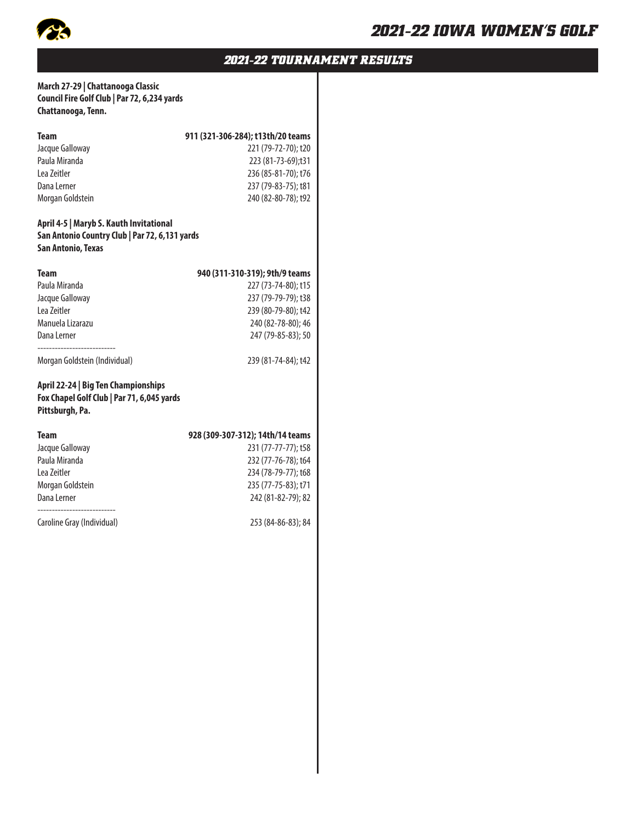

### *2021-22 TOURNAMENT RESULTS*

#### **March 27-29 | Chattanooga Classic Council Fire Golf Club | Par 72, 6,234 yards Chattanooga, Tenn.**

| Team                                                                                                            | 911 (321-306-284); t13th/20 teams |
|-----------------------------------------------------------------------------------------------------------------|-----------------------------------|
| Jacque Galloway                                                                                                 | 221 (79-72-70); t20               |
| Paula Miranda                                                                                                   | 223 (81-73-69);t31                |
| Lea Zeitler                                                                                                     | 236 (85-81-70); t76               |
| Dana Lerner                                                                                                     | 237 (79-83-75); t81               |
| Morgan Goldstein                                                                                                | 240 (82-80-78); t92               |
| April 4-5   Maryb S. Kauth Invitational<br>San Antonio Country Club   Par 72, 6,131 yards<br>San Antonio, Texas |                                   |
| <b>Team</b>                                                                                                     | 940 (311-310-319); 9th/9 teams    |
| Paula Miranda                                                                                                   | 227 (73-74-80); t15               |
| Jacque Galloway                                                                                                 | 237 (79-79-79); t38               |
| Lea Zeitler                                                                                                     | 239 (80-79-80); t42               |
| Manuela Lizarazu                                                                                                | 240 (82-78-80); 46                |
| Dana Lerner                                                                                                     | 247 (79-85-83); 50                |
| Morgan Goldstein (Individual)                                                                                   | 239 (81-74-84); t42               |
| April 22-24   Big Ten Championships<br>Fox Chapel Golf Club   Par 71, 6,045 yards<br>Pittsburgh, Pa.            |                                   |
| <b>Team</b>                                                                                                     | 928 (309-307-312); 14th/14 teams  |
| Jacque Galloway                                                                                                 | 231 (77-77-77); t58               |
| Paula Miranda                                                                                                   | 232 (77-76-78); t64               |
| Lea Zeitler                                                                                                     | 234 (78-79-77); t68               |
| Morgan Goldstein                                                                                                | 235 (77-75-83); t71               |
| Dana Lerner                                                                                                     | 242 (81-82-79); 82                |
| Caroline Gray (Individual)                                                                                      | 253 (84-86-83); 84                |
|                                                                                                                 |                                   |
|                                                                                                                 |                                   |
|                                                                                                                 |                                   |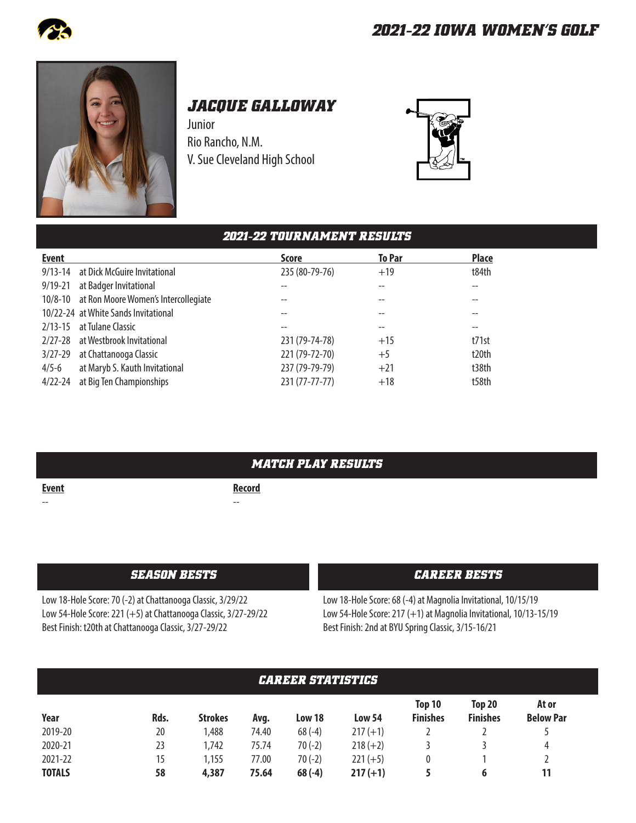



# *JACQUE GALLOWAY*

Junior Rio Rancho, N.M. V. Sue Cleveland High School



# *2021-22 TOURNAMENT RESULTS*

| <b>Event</b> |                                              | <b>Score</b>   | <b>To Par</b> | <b>Place</b> |
|--------------|----------------------------------------------|----------------|---------------|--------------|
|              | 9/13-14 at Dick McGuire Invitational         | 235 (80-79-76) | $+19$         | t84th        |
| $9/19 - 21$  | at Badger Invitational                       |                |               |              |
|              | 10/8-10 at Ron Moore Women's Intercollegiate |                |               |              |
|              | 10/22-24 at White Sands Invitational         |                |               |              |
|              | 2/13-15 at Tulane Classic                    |                |               |              |
|              | 2/27-28 at Westbrook Invitational            | 231 (79-74-78) | $+15$         | t71st        |
|              | 3/27-29 at Chattanooga Classic               | 221 (79-72-70) | $+5$          | t20th        |
| $4/5 - 6$    | at Maryb S. Kauth Invitational               | 237 (79-79-79) | $+21$         | t38th        |
| 4/22-24      | at Big Ten Championships                     | 231 (77-77-77) | $+18$         | t58th        |

|              | <b>MATCH PLAY RESULTS</b> |
|--------------|---------------------------|
| <u>Event</u> | <b>Record</b>             |
| --           | $- -$                     |
|              |                           |

Low 18-Hole Score: 70 (-2) at Chattanooga Classic, 3/29/22 Low 54-Hole Score: 221 (+5) at Chattanooga Classic, 3/27-29/22 Best Finish: t20th at Chattanooga Classic, 3/27-29/22

#### *SEASON BESTS CAREER BESTS*

Low 18-Hole Score: 68 (-4) at Magnolia Invitational, 10/15/19 Low 54-Hole Score: 217 (+1) at Magnolia Invitational, 10/13-15/19 Best Finish: 2nd at BYU Spring Classic, 3/15-16/21

| <b><i>CAREER STATISTICS</i></b> |      |                |       |          |               |                           |                           |                           |  |
|---------------------------------|------|----------------|-------|----------|---------------|---------------------------|---------------------------|---------------------------|--|
| Year                            | Rds. | <b>Strokes</b> | Avg.  | Low 18   | <b>Low 54</b> | Top 10<br><b>Finishes</b> | Top 20<br><b>Finishes</b> | At or<br><b>Below Par</b> |  |
| 2019-20                         | 20   | ,488           | 74.40 | $68(-4)$ | $217 (+1)$    |                           |                           |                           |  |
| 2020-21                         | 23   | 1,742          | 75.74 | $70(-2)$ | $218 (+2)$    |                           |                           | 4                         |  |
| 2021-22                         | 15   | 1,155          | 77.00 | $70(-2)$ | $221 (+5)$    | 0                         |                           |                           |  |
| <b>TOTALS</b>                   | 58   | 4,387          | 75.64 | $68(-4)$ | $217 (+1)$    |                           | 6                         | 11                        |  |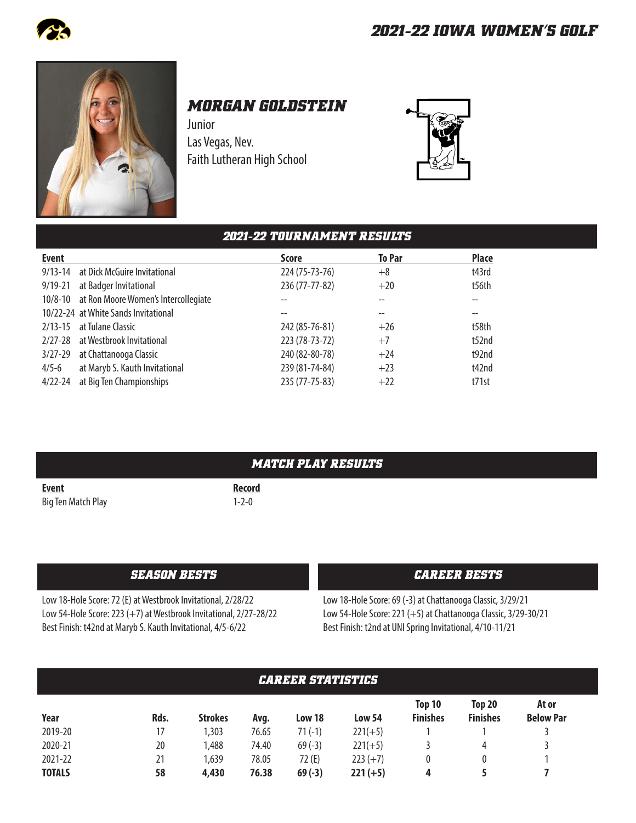



# *MORGAN GOLDSTEIN*

Junior Las Vegas, Nev. Faith Lutheran High School



### *2021-22 TOURNAMENT RESULTS* **Event Score To Par Place** 9/13-14 at Dick McGuire Invitational 224 (75-73-76) +8 t43rd 9/19-21 at Badger Invitational 236 (77-77-82) +20 t56th 10/8-10 at Ron Moore Women's Intercollegiate -- -- -- 10/22-24 at White Sands Invitational and the set of the set of the set of the set of the set of the set of the set of the set of the set of the set of the set of the set of the set of the set of the set of the set of the s 2/13-15 at Tulane Classic 242 (85-76-81) +26 t58th 2/27-28 at Westbrook Invitational 223 (78-73-72) +7 t52nd 3/27-29 at Chattanooga Classic 240 (82-80-78) +24 +24 t92nd 4/5-6 at Maryb S. Kauth Invitational 239 (81-74-84) +23 t42nd 4/22-24 at Big Ten Championships 235 (77-75-83) +22 t71st

|                    | <i><b>MATCH PLAY RESULTS</b></i> |
|--------------------|----------------------------------|
| <b>Event</b>       | <b>Record</b>                    |
| Big Ten Match Play | $1 - 2 - 0$                      |

Low 18-Hole Score: 72 (E) at Westbrook Invitational, 2/28/22 Low 54-Hole Score: 223 (+7) at Westbrook Invitational, 2/27-28/22 Best Finish: t42nd at Maryb S. Kauth Invitational, 4/5-6/22

#### *SEASON BESTS CAREER BESTS*

Low 18-Hole Score: 69 (-3) at Chattanooga Classic, 3/29/21 Low 54-Hole Score: 221 (+5) at Chattanooga Classic, 3/29-30/21 Best Finish: t2nd at UNI Spring Invitational, 4/10-11/21

| <b>CAREER STATISTICS</b> |      |                |       |          |            |                           |                           |                           |  |
|--------------------------|------|----------------|-------|----------|------------|---------------------------|---------------------------|---------------------------|--|
| Year                     | Rds. | <b>Strokes</b> | Avg.  | Low 18   | Low 54     | Top 10<br><b>Finishes</b> | Top 20<br><b>Finishes</b> | At or<br><b>Below Par</b> |  |
| 2019-20                  | 17   | 1,303          | 76.65 | $71(-1)$ | $221(+5)$  |                           |                           |                           |  |
| 2020-21                  | 20   | 1,488          | 74.40 | $69(-3)$ | $221(+5)$  |                           | 4                         |                           |  |
| 2021-22                  | 21   | 1,639          | 78.05 | 72 (E)   | $223 (+7)$ | 0                         |                           |                           |  |
| <b>TOTALS</b>            | 58   | 4,430          | 76.38 | $69(-3)$ | $221 (+5)$ | 4                         |                           |                           |  |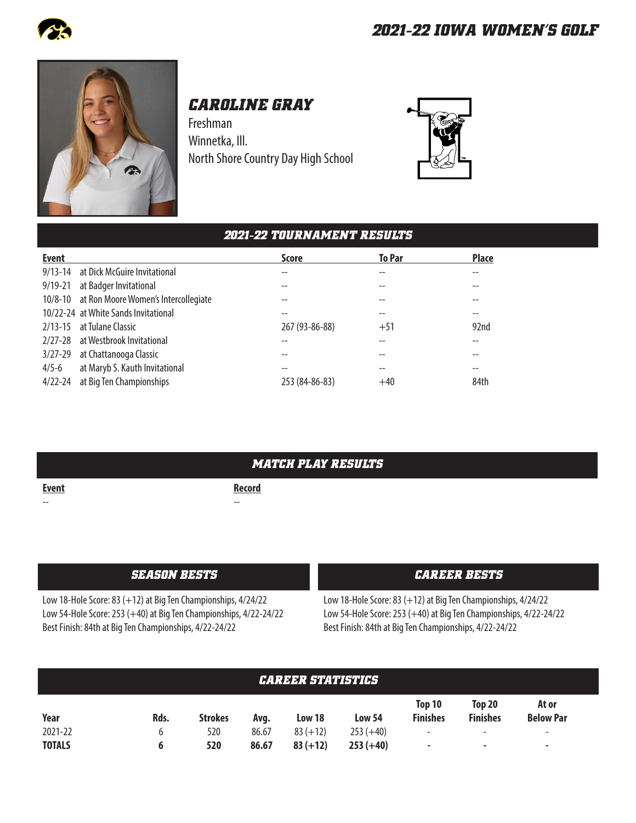



# *CAROLINE GRAY*

Freshman Winnetka, Ill. North Shore Country Day High School



### *2021-22 TOURNAMENT RESULTS*

| <b>Event</b> |                                              | <b>Score</b>   | <b>To Par</b> | <b>Place</b> |
|--------------|----------------------------------------------|----------------|---------------|--------------|
| $9/13 - 14$  | at Dick McGuire Invitational                 |                |               |              |
| $9/19 - 21$  | at Badger Invitational                       |                |               |              |
|              | 10/8-10 at Ron Moore Women's Intercollegiate |                |               |              |
|              | 10/22-24 at White Sands Invitational         |                |               |              |
|              | 2/13-15 at Tulane Classic                    | 267 (93-86-88) | $+51$         | 92nd         |
|              | 2/27-28 at Westbrook Invitational            |                |               |              |
|              | 3/27-29 at Chattanooga Classic               |                |               |              |
| $4/5 - 6$    | at Maryb S. Kauth Invitational               |                |               |              |
| $4/22 - 24$  | at Big Ten Championships                     | 253 (84-86-83) | $+40$         | 84th         |

### *MATCH PLAY RESULTS*

**Event** Record -- --

Low 18-Hole Score: 83 (+12) at Big Ten Championships, 4/24/22 Low 54-Hole Score: 253 (+40) at Big Ten Championships, 4/22-24/22 Best Finish: 84th at Big Ten Championships, 4/22-24/22

#### *SEASON BESTS CAREER BESTS*

Low 18-Hole Score: 83 (+12) at Big Ten Championships, 4/24/22 Low 54-Hole Score: 253 (+40) at Big Ten Championships, 4/22-24/22 Best Finish: 84th at Big Ten Championships, 4/22-24/22

| <b>CAREER STATISTICS</b> |      |                |       |            |               |                           |                                  |                           |  |
|--------------------------|------|----------------|-------|------------|---------------|---------------------------|----------------------------------|---------------------------|--|
| Year                     | Rds. | <b>Strokes</b> | Avg.  | Low 18     | <b>Low 54</b> | Top 10<br><b>Finishes</b> | <b>Top 20</b><br><b>Finishes</b> | At or<br><b>Below Par</b> |  |
| 2021-22                  | b    | 520            | 86.67 | $83 (+12)$ | $253 (+40)$   | $\overline{\phantom{a}}$  | $\overline{\phantom{a}}$         | $\overline{\phantom{a}}$  |  |
| <b>TOTALS</b>            | 6    | 520            | 86.67 | $83 (+12)$ | $253 (+40)$   | $\,$                      | $\overline{\phantom{0}}$         | -                         |  |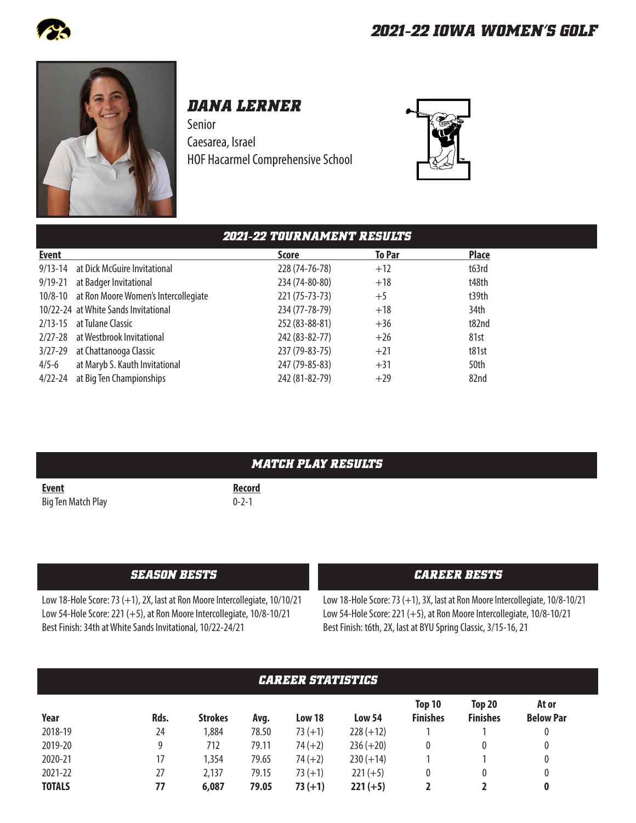



# *DANA LERNER*

Senior Caesarea, Israel HOF Hacarmel Comprehensive School



|             |                                              | <b>2021-22 TOURNAMENT RESULTS</b> |               |              |
|-------------|----------------------------------------------|-----------------------------------|---------------|--------------|
| Event       |                                              | <b>Score</b>                      | <b>To Par</b> | <b>Place</b> |
| $9/13 - 14$ | at Dick McGuire Invitational                 | 228 (74-76-78)                    | $+12$         | t63rd        |
| $9/19 - 21$ | at Badger Invitational                       | 234 (74-80-80)                    | $+18$         | t48th        |
|             | 10/8-10 at Ron Moore Women's Intercollegiate | 221 (75-73-73)                    | $+5$          | t39th        |
|             | 10/22-24 at White Sands Invitational         | 234 (77-78-79)                    | $+18$         | 34th         |
| $2/13 - 15$ | at Tulane Classic                            | 252 (83-88-81)                    | $+36$         | t82nd        |
|             | 2/27-28 at Westbrook Invitational            | 242 (83-82-77)                    | $+26$         | 81st         |
| $3/27 - 29$ | at Chattanooga Classic                       | 237 (79-83-75)                    | $+21$         | t81st        |
| $4/5 - 6$   | at Maryb S. Kauth Invitational               | 247 (79-85-83)                    | $+31$         | 50th         |
| $4/22 - 24$ | at Big Ten Championships                     | 242 (81-82-79)                    | $+29$         | 82nd         |

|                    | <i><b>MATCH PLAY RESULTS</b></i> |
|--------------------|----------------------------------|
| <b>Event</b>       | <b>Record</b>                    |
| Big Ten Match Play | $0 - 2 - 1$                      |

#### *SEASON BESTS CAREER BESTS*

Low 18-Hole Score: 73 (+1), 2X, last at Ron Moore Intercollegiate, 10/10/21 Low 54-Hole Score: 221 (+5), at Ron Moore Intercollegiate, 10/8-10/21 Best Finish: 34th at White Sands Invitational, 10/22-24/21

Low 18-Hole Score: 73 (+1), 3X, last at Ron Moore Intercollegiate, 10/8-10/21 Low 54-Hole Score:221 (+5), at Ron Moore Intercollegiate, 10/8-10/21 Best Finish: t6th, 2X, last at BYU Spring Classic, 3/15-16, 21

| <b>CAREER STATISTICS</b> |      |                |       |           |               |                           |                           |                           |  |
|--------------------------|------|----------------|-------|-----------|---------------|---------------------------|---------------------------|---------------------------|--|
| Year                     | Rds. | <b>Strokes</b> | Avg.  | Low 18    | <b>Low 54</b> | Top 10<br><b>Finishes</b> | Top 20<br><b>Finishes</b> | At or<br><b>Below Par</b> |  |
| 2018-19                  | 24   | 1,884          | 78.50 | $73 (+1)$ | $228 (+12)$   |                           |                           | 0                         |  |
| 2019-20                  | 9    | 712            | 79.11 | $74 (+2)$ | $236 (+20)$   | 0                         | 0                         | 0                         |  |
| 2020-21                  | 17   | 1,354          | 79.65 | $74 (+2)$ | $230 (+14)$   |                           |                           | 0                         |  |
| 2021-22                  | 27   | 2,137          | 79.15 | $73 (+1)$ | $221 (+5)$    | 0                         | 0                         | 0                         |  |
| <b>TOTALS</b>            | 77   | 6,087          | 79.05 | $73 (+1)$ | $221 (+5)$    |                           |                           | 0                         |  |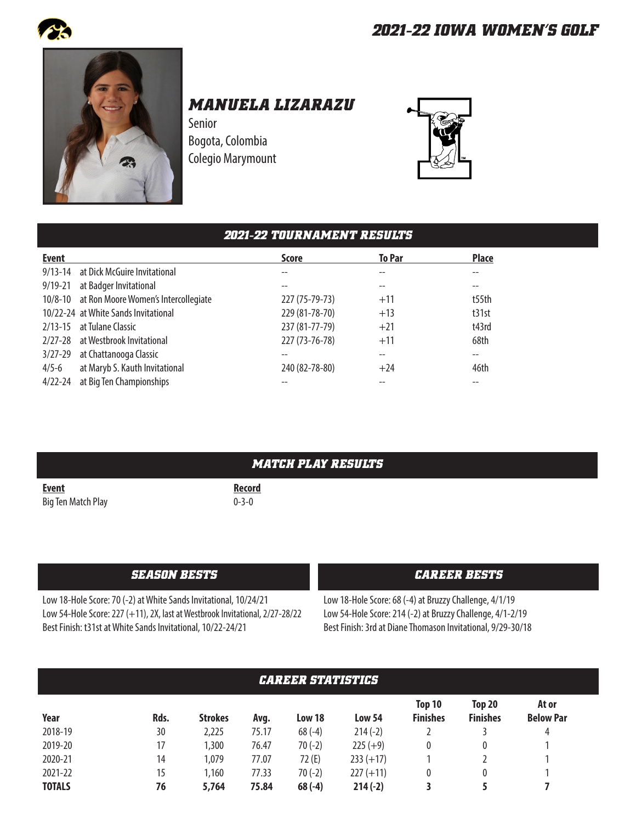



*MANUELA LIZARAZU*

Senior Bogota, Colombia Colegio Marymount



# *2021-22 TOURNAMENT RESULTS*

| <b>Event</b> |                                              | <b>Score</b>   | <b>To Par</b> | <b>Place</b> |
|--------------|----------------------------------------------|----------------|---------------|--------------|
|              | 9/13-14 at Dick McGuire Invitational         |                |               |              |
| $9/19 - 21$  | at Badger Invitational                       |                | --            |              |
|              | 10/8-10 at Ron Moore Women's Intercollegiate | 227 (75-79-73) | $+11$         | t55th        |
|              | 10/22-24 at White Sands Invitational         | 229 (81-78-70) | $+13$         | t31st        |
|              | 2/13-15 at Tulane Classic                    | 237 (81-77-79) | $+21$         | t43rd        |
|              | 2/27-28 at Westbrook Invitational            | 227 (73-76-78) | $+11$         | 68th         |
| 3/27-29      | at Chattanooga Classic                       |                | --            |              |
| $4/5 - 6$    | at Maryb S. Kauth Invitational               | 240 (82-78-80) | $+24$         | 46th         |
|              | 4/22-24 at Big Ten Championships             |                |               |              |

| <i><b>MATCH PLAY RESULTS</b></i> |  |  |  |  |
|----------------------------------|--|--|--|--|
|                                  |  |  |  |  |
|                                  |  |  |  |  |

**Event** Record Big Ten Match Play **D** 2-0

#### *SEASON BESTS CAREER BESTS*

Low 18-Hole Score: 70 (-2) at White Sands Invitational, 10/24/21 Low 54-Hole Score: 227 (+11), 2X, last at Westbrook Invitational, 2/27-28/22 Best Finish: t31st at White Sands Invitational, 10/22-24/21

Low 18-Hole Score: 68 (-4) at Bruzzy Challenge, 4/1/19 Low 54-Hole Score: 214 (-2) at Bruzzy Challenge, 4/1-2/19 Best Finish: 3rd at Diane Thomason Invitational, 9/29-30/18

| <b><i>CAREER STATISTICS</i></b> |      |                |       |          |               |                           |                                  |                           |  |
|---------------------------------|------|----------------|-------|----------|---------------|---------------------------|----------------------------------|---------------------------|--|
| Year                            | Rds. | <b>Strokes</b> | Avg.  | Low 18   | <b>Low 54</b> | Top 10<br><b>Finishes</b> | <b>Top 20</b><br><b>Finishes</b> | At or<br><b>Below Par</b> |  |
| 2018-19                         | 30   | 2,225          | 75.17 | $68(-4)$ | $214(-2)$     |                           |                                  | 4                         |  |
| 2019-20                         | 17   | ,300           | 76.47 | $70(-2)$ | $225 (+9)$    | 0                         | 0                                |                           |  |
| 2020-21                         | 14   | 1,079          | 77.07 | 72(E)    | $233 (+17)$   |                           |                                  |                           |  |
| 2021-22                         | 15   | ,160           | 77.33 | $70(-2)$ | $227 (+11)$   | 0                         | $\mathbf{0}$                     |                           |  |
| <b>TOTALS</b>                   | 76   | 5,764          | 75.84 | $68(-4)$ | $214(-2)$     |                           |                                  |                           |  |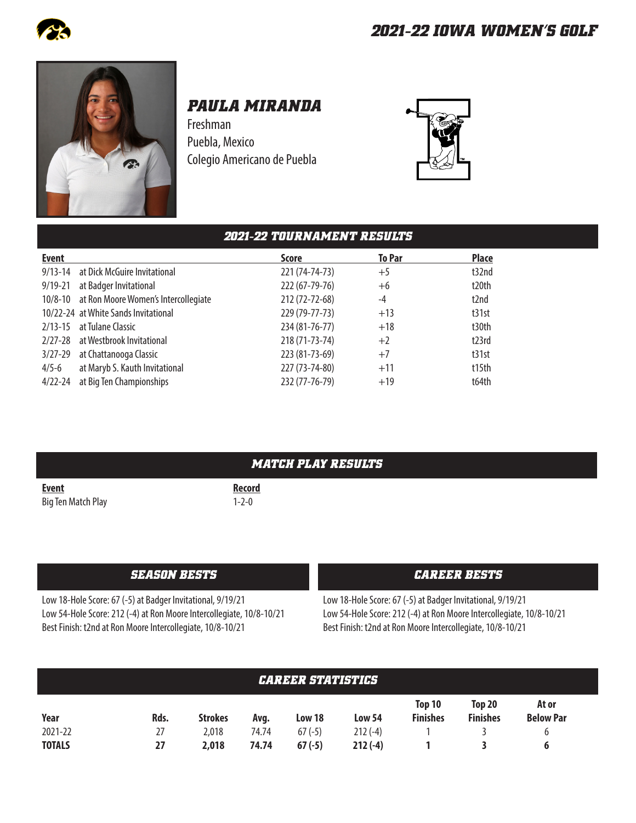



# *PAULA MIRANDA*

Freshman Puebla, Mexico Colegio Americano de Puebla



|              |                                      | <b>2021-22 TOURNAMENT RESULTS</b> |               |                   |
|--------------|--------------------------------------|-----------------------------------|---------------|-------------------|
| <b>Event</b> |                                      | <b>Score</b>                      | <b>To Par</b> | <b>Place</b>      |
| $9/13 - 14$  | at Dick McGuire Invitational         | 221 (74-74-73)                    | $+5$          | t32nd             |
| $9/19 - 21$  | at Badger Invitational               | 222 (67-79-76)                    | $+6$          | t20th             |
| $10/8 - 10$  | at Ron Moore Women's Intercollegiate | 212 (72-72-68)                    | $-4$          | t <sub>2</sub> nd |
|              | 10/22-24 at White Sands Invitational | 229 (79-77-73)                    | $+13$         | t31st             |
| $2/13 - 15$  | at Tulane Classic                    | 234 (81-76-77)                    | $+18$         | t30th             |
| $2/27 - 28$  | at Westbrook Invitational            | 218 (71-73-74)                    | $+2$          | t23rd             |
| $3/27 - 29$  | at Chattanooga Classic               | 223 (81-73-69)                    | $+7$          | t31st             |
| $4/5 - 6$    | at Maryb S. Kauth Invitational       | 227 (73-74-80)                    | $+11$         | t15th             |
| $4/22 - 24$  | at Big Ten Championships             | 232 (77-76-79)                    | $+19$         | t64th             |

|                    | MATCH PLAY RESULTS |
|--------------------|--------------------|
| <b>Event</b>       | <b>Record</b>      |
| Big Ten Match Play | $1 - 2 - 0$        |

### *SEASON BESTS CAREER BESTS*

Low 18-Hole Score: 67 (-5) at Badger Invitational, 9/19/21 Low 54-Hole Score: 212 (-4) at Ron Moore Intercollegiate, 10/8-10/21 Best Finish: t2nd at Ron Moore Intercollegiate, 10/8-10/21

Low 18-Hole Score: 67 (-5) at Badger Invitational, 9/19/21 Low 54-Hole Score: 212 (-4) at Ron Moore Intercollegiate, 10/8-10/21 Best Finish: t2nd at Ron Moore Intercollegiate, 10/8-10/21

| <b>CAREER STATISTICS</b> |      |                |       |          |           |                           |                           |                           |  |
|--------------------------|------|----------------|-------|----------|-----------|---------------------------|---------------------------|---------------------------|--|
| Year                     | Rds. | <b>Strokes</b> | Avg.  | Low 18   | Low 54    | Top 10<br><b>Finishes</b> | Top 20<br><b>Finishes</b> | At or<br><b>Below Par</b> |  |
| 2021-22                  | 27   | 2,018          | 74.74 | $67(-5)$ | $212(-4)$ |                           |                           |                           |  |
| <b>TOTALS</b>            | 27   | 2,018          | 74.74 | $67(-5)$ | $212(-4)$ |                           |                           |                           |  |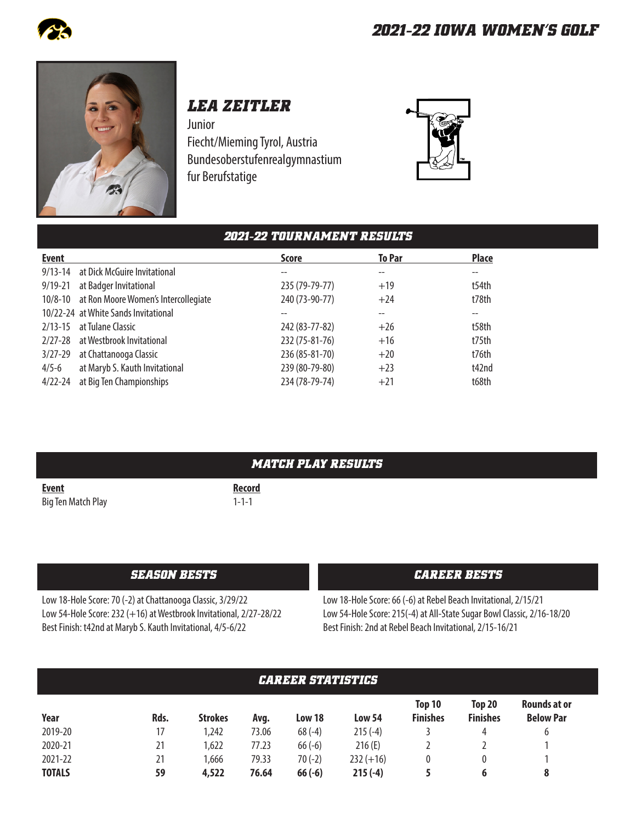



# *LEA ZEITLER*

Junior Fiecht/Mieming Tyrol, Austria Bundesoberstufenrealgymnastium fur Berufstatige



|              |                                              | <b>2021-22 TOURNAMENT RESULTS</b> |                   |                   |
|--------------|----------------------------------------------|-----------------------------------|-------------------|-------------------|
| <b>Event</b> |                                              | <b>Score</b>                      | <b>To Par</b>     | <b>Place</b>      |
| $9/13 - 14$  | at Dick McGuire Invitational                 |                                   | $- -$             | $- -$             |
| $9/19 - 21$  | at Badger Invitational                       | 235 (79-79-77)                    | $+19$             | t54th             |
|              | 10/8-10 at Ron Moore Women's Intercollegiate | 240 (73-90-77)                    | $+24$             | t78th             |
|              | 10/22-24 at White Sands Invitational         |                                   | $\qquad \qquad -$ | $\qquad \qquad -$ |
| $2/13 - 15$  | at Tulane Classic                            | 242 (83-77-82)                    | $+26$             | t58th             |
| $2/27 - 28$  | at Westbrook Invitational                    | 232 (75-81-76)                    | $+16$             | t75th             |
| $3/27 - 29$  | at Chattanooga Classic                       | 236 (85-81-70)                    | $+20$             | t76th             |
| $4/5 - 6$    | at Maryb S. Kauth Invitational               | 239 (80-79-80)                    | $+23$             | t42nd             |
| $4/22 - 24$  | at Big Ten Championships                     | 234 (78-79-74)                    | $+21$             | t68th             |

|                    | <i><b>MATCH PLAY RESULTS</b></i> |
|--------------------|----------------------------------|
| <b>Event</b>       | <b>Record</b>                    |
| Big Ten Match Play | $1 - 1 - 1$                      |

#### *SEASON BESTS CAREER BESTS*

Low 18-Hole Score: 70 (-2) at Chattanooga Classic, 3/29/22 Low 54-Hole Score: 232 (+16) at Westbrook Invitational, 2/27-28/22 Best Finish: t42nd at Maryb S. Kauth Invitational, 4/5-6/22

Low 18-Hole Score: 66 (-6) at Rebel Beach Invitational, 2/15/21 Low 54-Hole Score: 215(-4) at All-State Sugar Bowl Classic, 2/16-18/20 Best Finish: 2nd at Rebel Beach Invitational, 2/15-16/21

| <b>CAREER STATISTICS</b> |      |                |       |          |               |                           |                           |                                         |  |
|--------------------------|------|----------------|-------|----------|---------------|---------------------------|---------------------------|-----------------------------------------|--|
| Year                     | Rds. | <b>Strokes</b> | Avg.  | Low 18   | <b>Low 54</b> | Top 10<br><b>Finishes</b> | Top 20<br><b>Finishes</b> | <b>Rounds at or</b><br><b>Below Par</b> |  |
| 2019-20                  | 17   | 1,242          | 73.06 | $68(-4)$ | $215(-4)$     |                           | 4                         | 6                                       |  |
| 2020-21                  | 21   | 1,622          | 77.23 | $66(-6)$ | 216(E)        |                           |                           |                                         |  |
| 2021-22                  | 21   | 1,666          | 79.33 | $70(-2)$ | $232 (+16)$   |                           |                           |                                         |  |
| <b>TOTALS</b>            | 59   | 4,522          | 76.64 | $66(-6)$ | $215(-4)$     |                           | 6                         | 8                                       |  |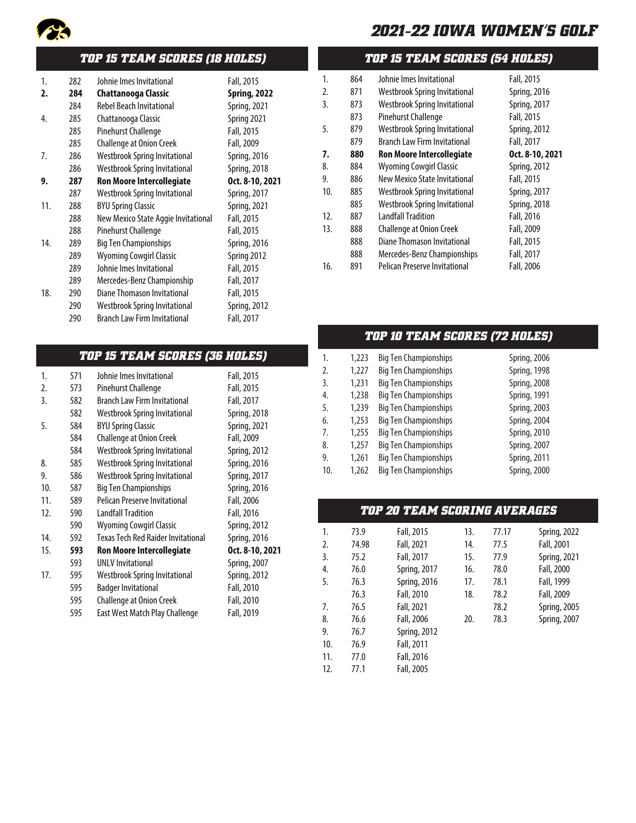

## *TOP 15 TEAM SCORES (18 HOLES)*

| 1.  | 282 | Johnie Imes Invitational             | Fall, 2015          |
|-----|-----|--------------------------------------|---------------------|
| 2.  | 284 | <b>Chattanooga Classic</b>           | <b>Spring, 2022</b> |
|     | 284 | <b>Rebel Beach Invitational</b>      | <b>Spring, 2021</b> |
| 4.  | 285 | Chattanooga Classic                  | Spring 2021         |
|     | 285 | Pinehurst Challenge                  | Fall, 2015          |
|     | 285 | <b>Challenge at Onion Creek</b>      | Fall, 2009          |
| 7.  | 286 | <b>Westbrook Spring Invitational</b> | <b>Spring, 2016</b> |
|     | 286 | <b>Westbrook Spring Invitational</b> | Spring, 2018        |
| 9.  | 287 | <b>Ron Moore Intercollegiate</b>     | Oct. 8-10, 2021     |
|     | 287 | <b>Westbrook Spring Invitational</b> | Spring, 2017        |
| 11. | 288 | <b>BYU Spring Classic</b>            | Spring, 2021        |
|     | 288 | New Mexico State Aggie Invitational  | Fall, 2015          |
|     | 288 | Pinehurst Challenge                  | Fall, 2015          |
| 14. | 289 | <b>Big Ten Championships</b>         | <b>Spring, 2016</b> |
|     | 289 | <b>Wyoming Cowgirl Classic</b>       | Spring 2012         |
|     | 289 | Johnie Imes Invitational             | Fall, 2015          |
|     | 289 | Mercedes-Benz Championship           | Fall, 2017          |
| 18. | 290 | Diane Thomason Invitational          | Fall, 2015          |
|     | 290 | Westbrook Spring Invitational        | <b>Spring, 2012</b> |
|     | 290 | <b>Branch Law Firm Invitational</b>  | Fall, 2017          |
|     |     |                                      |                     |

### *TOP 15 TEAM SCORES (36 HOLES)*

| 1.  | 571 | Johnie Imes Invitational                  | Fall, 2015          |
|-----|-----|-------------------------------------------|---------------------|
| 2.  | 573 | Pinehurst Challenge                       | Fall, 2015          |
| 3.  | 582 | <b>Branch Law Firm Invitational</b>       | Fall, 2017          |
|     | 582 | Westbrook Spring Invitational             | Spring, 2018        |
| 5.  | 584 | <b>BYU Spring Classic</b>                 | <b>Spring, 2021</b> |
|     | 584 | Challenge at Onion Creek                  | Fall, 2009          |
|     | 584 | <b>Westbrook Spring Invitational</b>      | <b>Spring, 2012</b> |
| 8.  | 585 | <b>Westbrook Spring Invitational</b>      | Spring, 2016        |
| 9.  | 586 | <b>Westbrook Spring Invitational</b>      | Spring, 2017        |
| 10. | 587 | <b>Big Ten Championships</b>              | Spring, 2016        |
| 11. | 589 | Pelican Preserve Invitational             | Fall, 2006          |
| 12. | 590 | <b>Landfall Tradition</b>                 | Fall, 2016          |
|     | 590 | <b>Wyoming Cowgirl Classic</b>            | Spring, 2012        |
| 14. | 592 | <b>Texas Tech Red Raider Invitational</b> | Spring, 2016        |
| 15. | 593 | <b>Ron Moore Intercollegiate</b>          | Oct. 8-10, 2021     |
|     | 593 | <b>UNLV Invitational</b>                  | Spring, 2007        |
| 17. | 595 | Westbrook Spring Invitational             | <b>Spring, 2012</b> |
|     | 595 | <b>Badger Invitational</b>                | Fall, 2010          |
|     | 595 | Challenge at Onion Creek                  | Fall, 2010          |
|     | 595 | East West Match Play Challenge            | Fall, 2019          |

### *TOP 15 TEAM SCORES (54 HOLES)*

| 1.  | 864 | Johnie Imes Invitational             | Fall, 2015          |
|-----|-----|--------------------------------------|---------------------|
| 2.  | 871 | <b>Westbrook Spring Invitational</b> | <b>Spring, 2016</b> |
| 3.  | 873 | <b>Westbrook Spring Invitational</b> | Spring, 2017        |
|     | 873 | Pinehurst Challenge                  | Fall, 2015          |
| 5.  | 879 | <b>Westbrook Spring Invitational</b> | Spring, 2012        |
|     | 879 | <b>Branch Law Firm Invitational</b>  | Fall, 2017          |
| 7.  | 880 | <b>Ron Moore Intercollegiate</b>     | Oct. 8-10, 2021     |
| 8.  | 884 | <b>Wyoming Cowgirl Classic</b>       | Spring, 2012        |
| 9.  | 886 | New Mexico State Invitational        | Fall, 2015          |
| 10. | 885 | Westbrook Spring Invitational        | Spring, 2017        |
|     | 885 | <b>Westbrook Spring Invitational</b> | Spring, 2018        |
| 12. | 887 | <b>Landfall Tradition</b>            | Fall, 2016          |
| 13. | 888 | <b>Challenge at Onion Creek</b>      | Fall, 2009          |
|     | 888 | Diane Thomason Invitational          | Fall, 2015          |
|     | 888 | Mercedes-Benz Championships          | Fall, 2017          |
| 16. | 891 | <b>Pelican Preserve Invitational</b> | Fall, 2006          |
|     |     |                                      |                     |

### *TOP 10 TEAM SCORES (72 HOLES)*

| 1.  | 1,223 | <b>Big Ten Championships</b> | Spring, 2006        |
|-----|-------|------------------------------|---------------------|
| 2.  | 1,227 | <b>Big Ten Championships</b> | Spring, 1998        |
| 3.  | 1,231 | <b>Big Ten Championships</b> | Spring, 2008        |
| 4.  | 1,238 | <b>Big Ten Championships</b> | <b>Spring, 1991</b> |
| 5.  | 1,239 | <b>Big Ten Championships</b> | Spring, 2003        |
| 6.  | 1,253 | <b>Big Ten Championships</b> | Spring, 2004        |
| 7.  | 1,255 | <b>Big Ten Championships</b> | <b>Spring, 2010</b> |
| 8.  | 1,257 | <b>Big Ten Championships</b> | Spring, 2007        |
| 9.  | 1,261 | <b>Big Ten Championships</b> | Spring, 2011        |
| 10. | 1,262 | <b>Big Ten Championships</b> | Spring, 2000        |

## *TOP 20 TEAM SCORING AVERAGES*

| 1.  | 73.9  | Fall, 2015          | 13. | 77.17 | Spring, 2022        |
|-----|-------|---------------------|-----|-------|---------------------|
| 2.  | 74.98 | Fall, 2021          | 14. | 77.5  | Fall, 2001          |
| 3.  | 75.2  | Fall, 2017          | 15. | 77.9  | <b>Spring, 2021</b> |
| 4.  | 76.0  | Spring, 2017        | 16. | 78.0  | Fall, 2000          |
| 5.  | 76.3  | Spring, 2016        | 17. | 78.1  | Fall, 1999          |
|     | 76.3  | Fall, 2010          | 18. | 78.2  | Fall, 2009          |
| 7.  | 76.5  | Fall, 2021          |     | 78.2  | <b>Spring, 2005</b> |
| 8.  | 76.6  | Fall, 2006          | 20. | 78.3  | Spring, 2007        |
| 9.  | 76.7  | <b>Spring, 2012</b> |     |       |                     |
| 10. | 76.9  | Fall, 2011          |     |       |                     |
| 11. | 77.0  | Fall, 2016          |     |       |                     |
| 12. | 77.1  | Fall, 2005          |     |       |                     |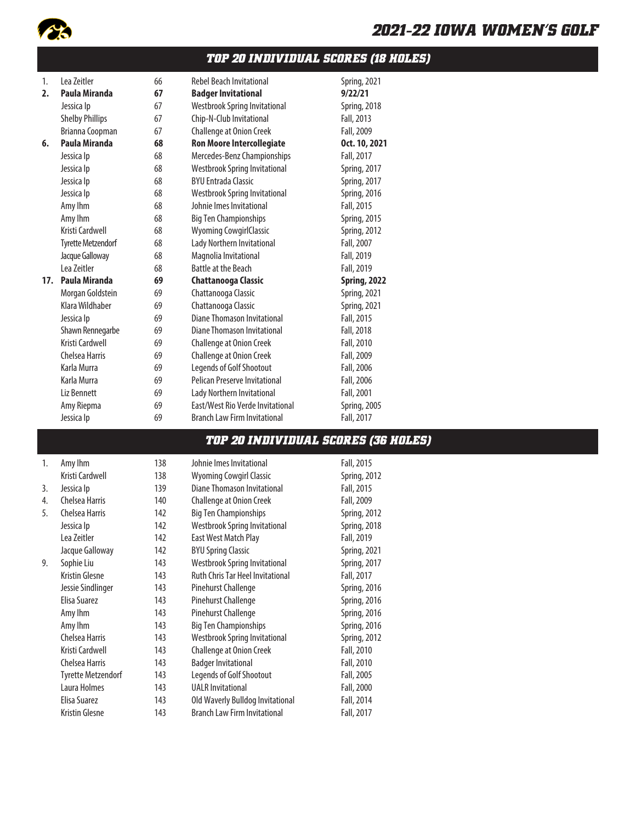

### *TOP 20 INDIVIDUAL SCORES (18 HOLES)*

| 1.  | Lea Zeitler               | 66 | <b>Rebel Beach Invitational</b>      | Spring, 2021        |
|-----|---------------------------|----|--------------------------------------|---------------------|
| 2.  | Paula Miranda             | 67 | <b>Badger Invitational</b>           | 9/22/21             |
|     | Jessica Ip                | 67 | <b>Westbrook Spring Invitational</b> | <b>Spring, 2018</b> |
|     | <b>Shelby Phillips</b>    | 67 | Chip-N-Club Invitational             | Fall, 2013          |
|     | Brianna Coopman           | 67 | Challenge at Onion Creek             | Fall, 2009          |
| 6.  | Paula Miranda             | 68 | <b>Ron Moore Intercollegiate</b>     | Oct. 10, 2021       |
|     | Jessica Ip                | 68 | Mercedes-Benz Championships          | Fall, 2017          |
|     | Jessica Ip                | 68 | <b>Westbrook Spring Invitational</b> | <b>Spring, 2017</b> |
|     | Jessica Ip                | 68 | <b>BYU Entrada Classic</b>           | Spring, 2017        |
|     | Jessica Ip                | 68 | <b>Westbrook Spring Invitational</b> | <b>Spring, 2016</b> |
|     | Amy Ihm                   | 68 | Johnie Imes Invitational             | Fall, 2015          |
|     | Amy Ihm                   | 68 | <b>Big Ten Championships</b>         | <b>Spring, 2015</b> |
|     | Kristi Cardwell           | 68 | <b>Wyoming CowgirlClassic</b>        | <b>Spring, 2012</b> |
|     | <b>Tyrette Metzendorf</b> | 68 | Lady Northern Invitational           | Fall, 2007          |
|     | Jacque Galloway           | 68 | Magnolia Invitational                | Fall, 2019          |
|     | Lea Zeitler               | 68 | Battle at the Beach                  | Fall, 2019          |
| 17. | Paula Miranda             | 69 | <b>Chattanooga Classic</b>           | <b>Spring, 2022</b> |
|     | Morgan Goldstein          | 69 | Chattanooga Classic                  | <b>Spring, 2021</b> |
|     | Klara Wildhaber           | 69 | Chattanooga Classic                  | <b>Spring, 2021</b> |
|     | Jessica Ip                | 69 | Diane Thomason Invitational          | Fall, 2015          |
|     | Shawn Rennegarbe          | 69 | Diane Thomason Invitational          | Fall, 2018          |
|     | Kristi Cardwell           | 69 | Challenge at Onion Creek             | Fall, 2010          |
|     | Chelsea Harris            | 69 | <b>Challenge at Onion Creek</b>      | Fall, 2009          |
|     | Karla Murra               | 69 | Legends of Golf Shootout             | Fall, 2006          |
|     | Karla Murra               | 69 | Pelican Preserve Invitational        | Fall, 2006          |
|     | Liz Bennett               | 69 | Lady Northern Invitational           | Fall, 2001          |
|     | Amy Riepma                | 69 | East/West Rio Verde Invitational     | <b>Spring, 2005</b> |
|     | Jessica Ip                | 69 | <b>Branch Law Firm Invitational</b>  | Fall, 2017          |
|     |                           |    |                                      |                     |

#### *TOP 20 INDIVIDUAL SCORES (36 HOLES)*

| 1. | Amy Ihm            |
|----|--------------------|
|    | Kristi Cardwell    |
| 3. | Jessica Ip         |
| 4. | Chelsea Harris     |
| 5. | Chelsea Harris     |
|    | Jessica Ip         |
|    | Lea Zeitler        |
|    | Jacque Galloway    |
| 9. | Sophie Liu         |
|    | Kristin Glesne     |
|    | Jessie Sindlinger  |
|    | Elisa Suarez       |
|    | Amy Ihm            |
|    | Amy Ihm            |
|    | Chelsea Harris     |
|    | Kristi Cardwell    |
|    | Chelsea Harris     |
|    | Tyrette Metzendorf |
|    | Laura Holmes       |
|    | Elisa Suarez       |
|    | Kristin Glesne     |

138 Johnie Imes Invitational Fall, 2015 138 Wyoming Cowgirl Classic Spring, 2012 139 Diane Thomason Invitational Fall, 2015 140 Challenge at Onion Creek Fall, 2009 142 Big Ten Championships Spring, 2012 142 Westbrook Spring Invitational Spring, 2018 142 East West Match Play Fall, 2019 142 BYU Spring Classic Spring, 2021 143 Westbrook Spring Invitational Spring, 2017 143 Ruth Chris Tar Heel Invitational Fall, 2017 143 Pinehurst Challenge Spring, 2016 143 Pinehurst Challenge Spring, 2016 143 Pinehurst Challenge Spring, 2016 143 Big Ten Championships Spring, 2016 143 Westbrook Spring Invitational Spring, 2012 143 Challenge at Onion Creek Fall, 2010 143 Badger Invitational Fall, 2010 143 Legends of Golf Shootout Fall, 2005 143 UALR Invitational Fall, 2000 143 Old Waverly Bulldog Invitational Fall, 2014 143 Branch Law Firm Invitational Fall, 2017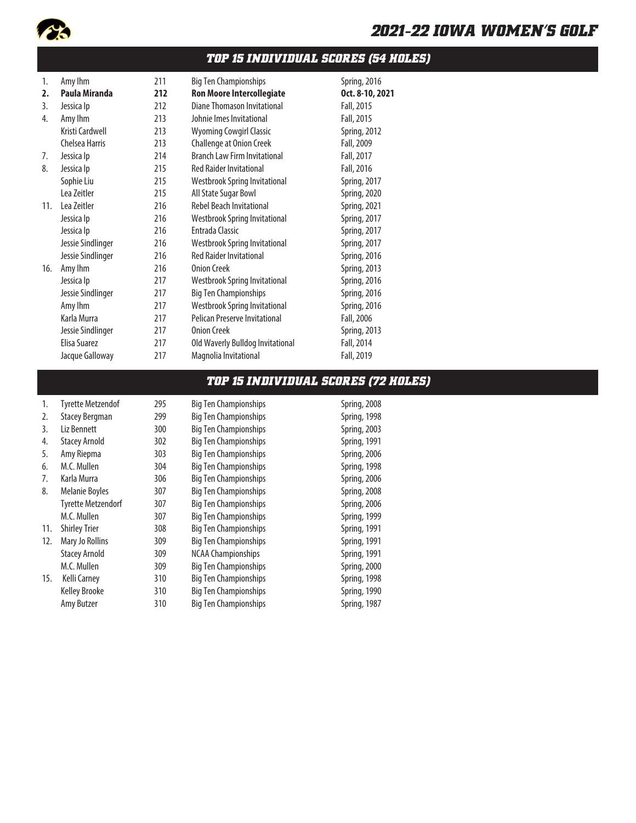

### *TOP 15 INDIVIDUAL SCORES (54 HOLES)*

| 1.  | Amy Ihm           | 211 | <b>Big Ten Championships</b>         | Spring, 2016        |
|-----|-------------------|-----|--------------------------------------|---------------------|
| 2.  | Paula Miranda     | 212 | <b>Ron Moore Intercollegiate</b>     | Oct. 8-10, 2021     |
| 3.  | Jessica Ip        | 212 | Diane Thomason Invitational          | Fall, 2015          |
| 4.  | Amy Ihm           | 213 | Johnie Imes Invitational             | Fall, 2015          |
|     | Kristi Cardwell   | 213 | <b>Wyoming Cowgirl Classic</b>       | <b>Spring, 2012</b> |
|     | Chelsea Harris    | 213 | Challenge at Onion Creek             | Fall, 2009          |
| 7.  | Jessica Ip        | 214 | <b>Branch Law Firm Invitational</b>  | Fall, 2017          |
| 8.  | Jessica Ip        | 215 | <b>Red Raider Invitational</b>       | Fall, 2016          |
|     | Sophie Liu        | 215 | <b>Westbrook Spring Invitational</b> | Spring, 2017        |
|     | Lea Zeitler       | 215 | All State Sugar Bowl                 | Spring, 2020        |
| 11. | Lea Zeitler       | 216 | <b>Rebel Beach Invitational</b>      | <b>Spring, 2021</b> |
|     | Jessica Ip        | 216 | <b>Westbrook Spring Invitational</b> | Spring, 2017        |
|     | Jessica Ip        | 216 | Entrada Classic                      | Spring, 2017        |
|     | Jessie Sindlinger | 216 | <b>Westbrook Spring Invitational</b> | <b>Spring, 2017</b> |
|     | Jessie Sindlinger | 216 | <b>Red Raider Invitational</b>       | <b>Spring, 2016</b> |
| 16. | Amy Ihm           | 216 | Onion Creek                          | <b>Spring, 2013</b> |
|     | Jessica Ip        | 217 | <b>Westbrook Spring Invitational</b> | Spring, 2016        |
|     | Jessie Sindlinger | 217 | <b>Big Ten Championships</b>         | Spring, 2016        |
|     | Amy Ihm           | 217 | <b>Westbrook Spring Invitational</b> | Spring, 2016        |
|     | Karla Murra       | 217 | Pelican Preserve Invitational        | Fall, 2006          |
|     | Jessie Sindlinger | 217 | <b>Onion Creek</b>                   | <b>Spring, 2013</b> |
|     | Elisa Suarez      | 217 | Old Waverly Bulldog Invitational     | Fall, 2014          |
|     | Jacque Galloway   | 217 | Magnolia Invitational                | Fall, 2019          |

### *TOP 15 INDIVIDUAL SCORES (72 HOLES)*

| 1.  | <b>Tyrette Metzendof</b>  | 295 | <b>Big Ten Championships</b> | Spring, 2008        |
|-----|---------------------------|-----|------------------------------|---------------------|
| 2.  | <b>Stacey Bergman</b>     | 299 | <b>Big Ten Championships</b> | Spring, 1998        |
| 3.  | Liz Bennett               | 300 | <b>Big Ten Championships</b> | <b>Spring, 2003</b> |
| 4.  | <b>Stacey Arnold</b>      | 302 | <b>Big Ten Championships</b> | <b>Spring, 1991</b> |
| 5.  | Amy Riepma                | 303 | <b>Big Ten Championships</b> | Spring, 2006        |
| 6.  | M.C. Mullen               | 304 | <b>Big Ten Championships</b> | Spring, 1998        |
| 7.  | Karla Murra               | 306 | <b>Big Ten Championships</b> | Spring, 2006        |
| 8.  | <b>Melanie Boyles</b>     | 307 | <b>Big Ten Championships</b> | Spring, 2008        |
|     | <b>Tyrette Metzendorf</b> | 307 | <b>Big Ten Championships</b> | Spring, 2006        |
|     | M.C. Mullen               | 307 | <b>Big Ten Championships</b> | <b>Spring, 1999</b> |
| 11. | <b>Shirley Trier</b>      | 308 | <b>Big Ten Championships</b> | <b>Spring, 1991</b> |
| 12. | Mary Jo Rollins           | 309 | <b>Big Ten Championships</b> | <b>Spring, 1991</b> |
|     | <b>Stacey Arnold</b>      | 309 | <b>NCAA Championships</b>    | <b>Spring, 1991</b> |
|     | M.C. Mullen               | 309 | <b>Big Ten Championships</b> | Spring, 2000        |
| 15. | <b>Kelli Carney</b>       | 310 | <b>Big Ten Championships</b> | Spring, 1998        |
|     | <b>Kelley Brooke</b>      | 310 | <b>Big Ten Championships</b> | Spring, 1990        |
|     | Amy Butzer                | 310 | <b>Big Ten Championships</b> | Spring, 1987        |